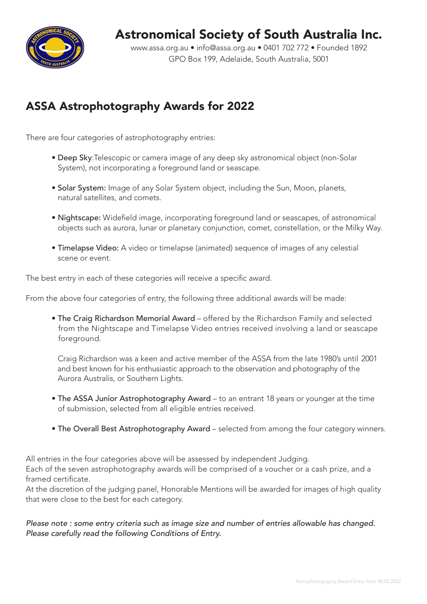

## Astronomical Society of South Australia Inc.

www.assa.org.au • info@assa.org.au • 0401 702 772 • Founded 1892 GPO Box 199, Adelaide, South Australia, 5001

### ASSA Astrophotography Awards for 2022

There are four categories of astrophotography entries:

- Deep Sky:Telescopic or camera image of any deep sky astronomical object (non-Solar System), not incorporating a foreground land or seascape.
- Solar System: Image of any Solar System object, including the Sun, Moon, planets, natural satellites, and comets.
- Nightscape: Widefield image, incorporating foreground land or seascapes, of astronomical objects such as aurora, lunar or planetary conjunction, comet, constellation, or the Milky Way.
- Timelapse Video: A video or timelapse (animated) sequence of images of any celestial scene or event.

The best entry in each of these categories will receive a specific award.

From the above four categories of entry, the following three additional awards will be made:

• The Craig Richardson Memorial Award – offered by the Richardson Family and selected from the Nightscape and Timelapse Video entries received involving a land or seascape foreground.

 Craig Richardson was a keen and active member of the ASSA from the late 1980's until 2001 and best known for his enthusiastic approach to the observation and photography of the Aurora Australis, or Southern Lights.

- The ASSA Junior Astrophotography Award to an entrant 18 years or younger at the time of submission, selected from all eligible entries received.
- The Overall Best Astrophotography Award selected from among the four category winners.

All entries in the four categories above will be assessed by independent Judging. Each of the seven astrophotography awards will be comprised of a voucher or a cash prize, and a framed certificate.

At the discretion of the judging panel, Honorable Mentions will be awarded for images of high quality that were close to the best for each category.

*Please note : some entry criteria such as image size and number of entries allowable has changed. Please carefully read the following Conditions of Entry.*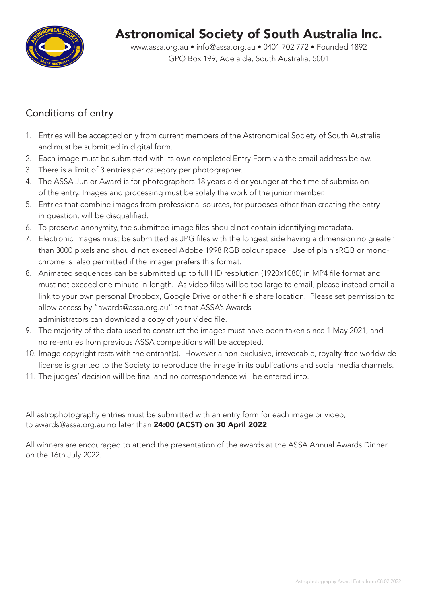

# Astronomical Society of South Australia Inc.

www.assa.org.au • info@assa.org.au • 0401 702 772 • Founded 1892 GPO Box 199, Adelaide, South Australia, 5001

### Conditions of entry

- 1. Entries will be accepted only from current members of the Astronomical Society of South Australia and must be submitted in digital form.
- 2. Each image must be submitted with its own completed Entry Form via the email address below.
- 3. There is a limit of 3 entries per category per photographer.
- 4. The ASSA Junior Award is for photographers 18 years old or younger at the time of submission of the entry. Images and processing must be solely the work of the junior member.
- 5. Entries that combine images from professional sources, for purposes other than creating the entry in question, will be disqualified.
- 6. To preserve anonymity, the submitted image files should not contain identifying metadata.
- 7. Electronic images must be submitted as JPG files with the longest side having a dimension no greater than 3000 pixels and should not exceed Adobe 1998 RGB colour space. Use of plain sRGB or monochrome is also permitted if the imager prefers this format.
- 8. Animated sequences can be submitted up to full HD resolution (1920x1080) in MP4 file format and must not exceed one minute in length. As video files will be too large to email, please instead email a link to your own personal Dropbox, Google Drive or other file share location. Please set permission to allow access by "awards@assa.org.au" so that ASSA's Awards administrators can download a copy of your video file.
- 9. The majority of the data used to construct the images must have been taken since 1 May 2021, and no re-entries from previous ASSA competitions will be accepted.
- 10. Image copyright rests with the entrant(s). However a non-exclusive, irrevocable, royalty-free worldwide license is granted to the Society to reproduce the image in its publications and social media channels.
- 11. The judges' decision will be final and no correspondence will be entered into.

All astrophotography entries must be submitted with an entry form for each image or video, to awards@assa.org.au no later than 24:00 (ACST) on 30 April 2022

All winners are encouraged to attend the presentation of the awards at the ASSA Annual Awards Dinner on the 16th July 2022.